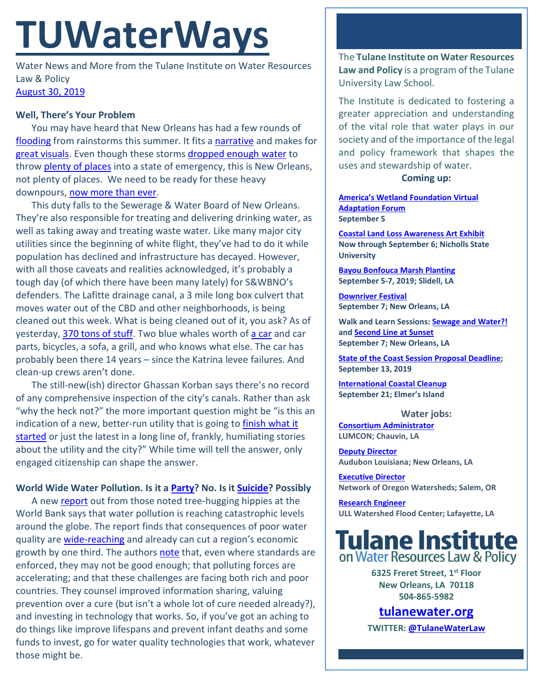# **TUWaterWays**

Water News and More from the Tulane Institute on Water Resources Law & Policy [August 30, 2019](https://thisdayinwaterhistory.wordpress.com/)

### **Well, There's Your Problem**

You may have heard that New Orleans has had a few rounds of [flooding](https://weather.com/safety/floods/news/2019-08-26-new-orleans-louisiana-flooding-impacts) from rainstorms this summer. It fits a [narrative](https://www.nola.com/news/environment/article_9e74b44c-6aad-51b0-adcb-af07a317c966.html) and makes for [great visuals.](https://bloximages.newyork1.vip.townnews.com/nola.com/content/tncms/assets/v3/editorial/2/f1/2f1268a6-1529-538f-be5d-126e5944610c/5d65952086998.image.jpg?resize=1200%2C630) Even though these storms [dropped enough water](https://www.nola.com/news/article_e7cd222a-a329-11e9-8b2d-ab8749f9d28a.html) to throw [plenty of places](http://www.nrcc.cornell.edu/services/blog/2011/09/02_irene/index.html) into a state of emergency, this is New Orleans, not plenty of places. We need to be ready for these heavy downpours, [now more than ever.](https://nca2014.globalchange.gov/)

This duty falls to the Sewerage & Water Board of New Orleans. They're also responsible for treating and delivering drinking water, as well as taking away and treating waste water. Like many major city utilities since the beginning of white flight, they've had to do it while population has declined and infrastructure has decayed. However, with all those caveats and realities acknowledged, it's probably a tough day (of which there have been many lately) for S&WBNO's defenders. The Lafitte drainage canal, a 3 mile long box culvert that moves water out of the CBD and other neighborhoods, is being cleaned out this week. What is being cleaned out of it, you ask? As of yesterday, [370 tons of stuff.](https://www.nola.com/news/article_d2f78730-c9e1-11e9-b52a-5b25dfb4c49b.html) Two blue whales worth of [a car](https://www.wwltv.com/amp/article/news/local/down-the-drain/370-tons-of-debris-removed-from-crucial-city-canal/289-8ecef41e-cb92-4d72-803d-6186d266dd18) and car parts, bicycles, a sofa, a grill, and who knows what else. The car has probably been there 14 years – since the Katrina levee failures. And clean-up crews aren't done.

The still-new(ish) director Ghassan Korban says there's no record of any comprehensive inspection of the city's canals. Rather than ask "why the heck not?" the more important question might be "is this an indication of a new, better-run utility that is going t[o finish what it](https://thumbs.gfycat.com/FewDimIndianrockpython-size_restricted.gif)  [started](https://thumbs.gfycat.com/FewDimIndianrockpython-size_restricted.gif) or just the latest in a long line of, frankly, humiliating stories about the utility and the city?" While time will tell the answer, only engaged citizenship can shape the answer.

### **World Wide Water Pollution. Is it a [Party?](https://www.youtube.com/watch?v=LZ1kzIDzNR8) No. Is it [Suicide?](https://www.youtube.com/watch?v=Hq-pA4R_EMM) Possibly**

A new [report](https://openknowledge.worldbank.org/bitstream/handle/10986/32245/9781464814594.pdf?sequence=3&isAllowed=y) out from those noted tree-hugging hippies at the World Bank says that water pollution is reaching catastrophic levels around the globe. The report finds that consequences of poor water quality ar[e wide-reaching](https://www.theguardian.com/global-development/2019/aug/20/whats-in-our-water-report-warns-of-growing-invisible-crisis-of-pollution) and already can cut a region's economic growth by one third. The authors [note](https://www.worldbank.org/en/news/feature/2019/08/20/quality-unknown) that, even where standards are enforced, they may not be good enough; that polluting forces are accelerating; and that these challenges are facing both rich and poor countries. They counsel improved information sharing, valuing prevention over a cure (but isn't a whole lot of cure needed already?), and investing in technology that works. So, if you've got an aching to do things like improve lifespans and prevent infant deaths and some funds to invest, go for water quality technologies that work, whatever those might be.

The **Tulane Institute on Water Resources Law and Policy** is a program of the Tulane University Law School.

The Institute is dedicated to fostering a greater appreciation and understanding of the vital role that water plays in our society and of the importance of the legal and policy framework that shapes the uses and stewardship of water.

#### **Coming up:**

**[America's Wetland](https://zoom.us/webinar/register/WN_pf1xIExmQi2HIiNM7R-WGg) Foundation Virtual [Adaptation Forum](https://zoom.us/webinar/register/WN_pf1xIExmQi2HIiNM7R-WGg) September 5**

**[Coastal Land Loss Awareness Art Exhibit](https://www.nicholls.edu/news/2019/nicholls-alums-art-gallery-to-promote-coastal-land-loss-awareness/) Now through September 6; Nicholls State University**

**[Bayou Bonfouca Marsh Planting](https://www.eventbrite.com/e/bayou-bonfouca-marsh-restoration-planting-event-on-september-5-2019-tickets-64179587875?aff=erelexpmlt) September 5-7, 2019; Slidell, LA**

**[Downriver Festival](https://www.downriverfest.org/home) September 7; New Orleans, LA**

**Walk and Learn Sessions: [Sewage and Water?!](https://www.facebook.com/events/681979878937687/) and [Second Line at Sunset](https://www.facebook.com/events/408702719756588/) September 7; New Orleans, LA**

**[State of the Coast Session Proposal Deadline;](https://conference.ifas.ufl.edu/soc/call_proposals.html) September 13, 2019**

**[International Coastal Cleanup](https://docs.google.com/forms/d/e/1FAIpQLSfYuPkxENcFJ-lXE1zHXVVM89VK2dMOhXdeoUBMpJhN4V8wDA/viewform?fbzx=5454860477050897076) September 21; Elmer's Island**

**Water jobs:**

**[Consortium Administrator](https://www.governmentjobs.com/careers/louisiana/jobs/2319809/consortium-administrator) LUMCON; Chauvin, LA**

**[Deputy Director](https://careers-audubon.icims.com/jobs/4151/deputy-director%2C-audubon-louisiana/job?mobile=false&width=975&height=500&bga=true&needsRedirect=false&jan1offset=-360&jun1offset=-300) Audubon Louisiana; New Orleans, LA**

**[Executive Director](http://www.oregonwatersheds.org/network-of-oregon-watersheds-is-hiring/) Network of Oregon Watersheds; Salem, OR**

**[Research Engineer](https://louisiana.csod.com/ats/careersite/JobDetails.aspx?site=1&id=804) ULL Watershed Flood Center; Lafayette, LA**



**6325 Freret Street, 1st Floor New Orleans, LA 70118 504-865-5982** 

## **tulanewater.org**

**TWITTER[: @TulaneWaterLaw](http://www.twitter.com/TulaneWaterLaw)**